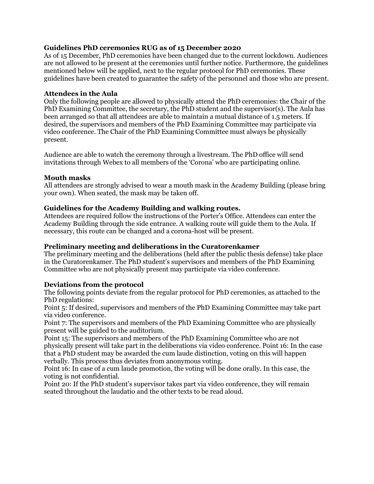## **Guidelines PhD ceremonies RUG as of 15 December 2020**

As of 15 December, PhD ceremonies have been changed due to the current lockdown. Audiences are not allowed to be present at the ceremonies until further notice. Furthermore, the guidelines mentioned below will be applied, next to the regular protocol for PhD ceremonies. These guidelines have been created to guarantee the safety of the personnel and those who are present.

#### **Attendees in the Aula**

Only the following people are allowed to physically attend the PhD ceremonies: the Chair of the PhD Examining Committee, the secretary, the PhD student and the supervisor(s). The Aula has been arranged so that all attendees are able to maintain a mutual distance of 1.5 meters. If desired, the supervisors and members of the PhD Examining Committee may participate via video conference. The Chair of the PhD Examining Committee must always be physically present.

Audience are able to watch the ceremony through a livestream. The PhD office will send invitations through Webex to all members of the 'Corona' who are participating online.

#### **Mouth masks**

All attendees are strongly advised to wear a mouth mask in the Academy Building (please bring your own). When seated, the mask may be taken off.

#### **Guidelines for the Academy Building and walking routes.**

Attendees are required follow the instructions of the Porter's Office. Attendees can enter the Academy Building through the side entrance. A walking route will guide them to the Aula. If necessary, this route can be changed and a corona-host will be present.

## **Preliminary meeting and deliberations in the Curatorenkamer**

The preliminary meeting and the deliberations (held after the public thesis defense) take place in the Curatorenkamer. The PhD student's supervisors and members of the PhD Examining Committee who are not physically present may participate via video conference.

## **Deviations from the protocol**

The following points deviate from the regular protocol for PhD ceremonies, as attached to the PhD regulations:

Point 5: If desired, supervisors and members of the PhD Examining Committee may take part via video conference.

Point 7: The supervisors and members of the PhD Examining Committee who are physically present will be guided to the auditorium.

Point 15: The supervisors and members of the PhD Examining Committee who are not physically present will take part in the deliberations via video conference. Point 16: In the case that a PhD student may be awarded the cum laude distinction, voting on this will happen verbally. This process thus deviates from anonymous voting.

Point 16: In case of a cum laude promotion, the voting will be done orally. In this case, the voting is not confidential.

Point 20: If the PhD student's supervisor takes part via video conference, they will remain seated throughout the laudatio and the other texts to be read aloud.